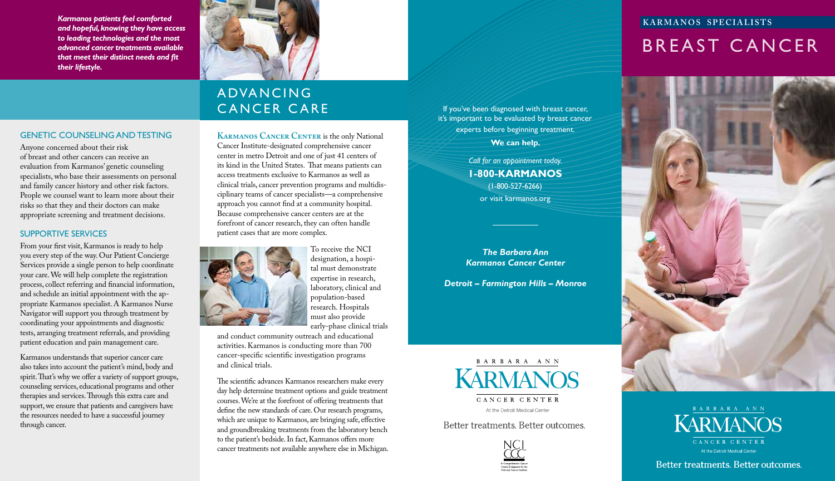*Karmanos patients feel comforted and hopeful, knowing they have access to leading technologies and the most advanced cancer treatments available that meet their distinct needs and !t their lifestyle.*

### GENETIC COUNSELING AND TESTING

Anyone concerned about their risk of breast and other cancers can receive an evaluation from Karmanos' genetic counseling specialists, who base their assessments on personal and family cancer history and other risk factors. People we counsel want to learn more about their risks so that they and their doctors can make appropriate screening and treatment decisions.

## SUPPORTIVE SERVICES

From your first visit, Karmanos is ready to help you every step of the way. Our Patient Concierge Services provide a single person to help coordinate your care. We will help complete the registration process, collect referring and financial information, and schedule an initial appointment with the appropriate Karmanos specialist. A Karmanos Nurse Navigator will support you through treatment by coordinating your appointments and diagnostic tests, arranging treatment referrals, and providing patient education and pain management care.

Karmanos understands that superior cancer care also takes into account the patient's mind, body and spirit. That's why we offer a variety of support groups, counseling services, educational programs and other therapies and services. Through this extra care and support, we ensure that patients and caregivers have the resources needed to have a successful journey through cancer.



# **ADVANCING** CANCER CARE

**KARMANOS CANCER CENTER** is the only National Cancer Institute-designated comprehensive cancer center in metro Detroit and one of just 41 centers of its kind in the United States. That means patients can access treatments exclusive to Karmanos as well as clinical trials, cancer prevention programs and multidisciplinary teams of cancer specialists—a comprehensive approach you cannot find at a community hospital. Because comprehensive cancer centers are at the forefront of cancer research, they can often handle patient cases that are more complex.



To receive the NCI designation, a hospital must demonstrate expertise in research, laboratory, clinical and population-based research. Hospitals must also provide early-phase clinical trials

and conduct community outreach and educational activities. Karmanos is conducting more than 700 cancer-specific scientific investigation programs and clinical trials.

The scientific advances Karmanos researchers make every day help determine treatment options and guide treatment courses. We're at the forefront of offering treatments that define the new standards of care. Our research programs, which are unique to Karmanos, are bringing safe, effective and groundbreaking treatments from the laboratory bench to the patient's bedside. In fact, Karmanos offers more cancer treatments not available anywhere else in Michigan.

If you've been diagnosed with breast cancer, it's important to be evaluated by breast cancer experts before beginning treatment.

**We can help.** 

*Call for an appointment today.* **1-800-KARMANOS**  (1-800-527-6266) or visit karmanos.org

*The Barbara Ann Karmanos Cancer Center*

*Detroit – Farmington Hills – Monroe*



Better treatments. Better outcomes.



# **KARMANOS SPECIALISTS**

# BREAST CANCER





Better treatments. Better outcomes.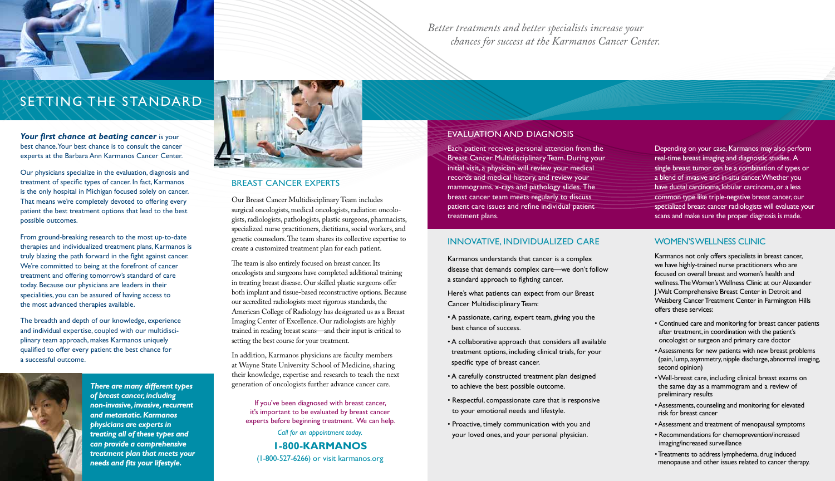

# SeTTing THe STAndArd

### Your first chance at beating cancer is your best chance. Your best chance is to consult the cancer experts at the Barbara Ann Karmanos Cancer Center.

Our physicians specialize in the evaluation, diagnosis and treatment of specific types of cancer. In fact, Karmanos is the only hospital in Michigan focused solely on cancer. That means we're completely devoted to offering every patient the best treatment options that lead to the best possible outcomes.

From ground-breaking research to the most up-to-date therapies and individualized treatment plans, Karmanos is truly blazing the path forward in the fight against cancer. We're committed to being at the forefront of cancer treatment and offering tomorrow's standard of care today. Because our physicians are leaders in their specialities, you can be assured of having access to the most advanced therapies available.

The breadth and depth of our knowledge, experience and individual expertise, coupled with our multidisciplinary team approach, makes Karmanos uniquely qualified to offer every patient the best chance for a successful outcome.



*There are many different types of breast cancer, including non-invasive, invasive, recurrent and metastatic. Karmanos physicians are experts in treating all of these types and can provide a comprehensive treatment plan that meets your needs and !ts your lifestyle.* 



## BREAST CANCER EXPERTS

Our Breast Cancer Multidisciplinary Team includes surgical oncologists, medical oncologists, radiation oncologists, radiologists, pathologists, plastic surgeons, pharmacists, specialized nurse practitioners, dietitians, social workers, and genetic counselors. The team shares its collective expertise to create a customized treatment plan for each patient.

The team is also entirely focused on breast cancer. Its oncologists and surgeons have completed additional training in treating breast disease. Our skilled plastic surgeons offer both implant and tissue-based reconstructive options. Because our accredited radiologists meet rigorous standards, the American College of Radiology has designated us as a Breast Imaging Center of Excellence. Our radiologists are highly trained in reading breast scans—and their input is critical to setting the best course for your treatment.

In addition, Karmanos physicians are faculty members at Wayne State University School of Medicine, sharing their knowledge, expertise and research to teach the next generation of oncologists further advance cancer care.

If you've been diagnosed with breast cancer, it's important to be evaluated by breast cancer experts before beginning treatment. We can help.

*Call for an appointment today.* **1-800-KARMANOS**  (1-800-527-6266) or visit karmanos.org *Better treatments and better specialists increase your chances for success at the Karmanos Cancer Center.*

# EVALUATION AND DIAGNOSIS

Each patient receives personal attention from the Breast Cancer Multidisciplinary Team. During your initial visit, a physician will review your medical records and medical history, and review your mammograms, x-rays and pathology slides. The breast cancer team meets regularly to discuss patient care issues and refine individual patient treatment plans.

### INNOVATIVE, INDIVIDUALIZED CARE

Karmanos understands that cancer is a complex disease that demands complex care—we don't follow a standard approach to fighting cancer.

Here's what patients can expect from our Breast Cancer Multidisciplinary Team:

- A passionate, caring, expert team, giving you the best chance of success.
- A collaborative approach that considers all available treatment options, including clinical trials, for your specific type of breast cancer.
- A carefully constructed treatment plan designed to achieve the best possible outcome.
- Respectful, compassionate care that is responsive to your emotional needs and lifestyle.
- Proactive, timely communication with you and your loved ones, and your personal physician.

Depending on your case, Karmanos may also perform real-time breast imaging and diagnostic studies. A single breast tumor can be a combination of types or a blend of invasive and in-situ cancer. Whether you have ductal carcinoma, lobular carcinoma, or a less common type like triple-negative breast cancer, our specialized breast cancer radiologists will evaluate your scans and make sure the proper diagnosis is made.

### WOMEN'S WELLNESS CLINIC

Karmanos not only offers specialists in breast cancer, we have highly-trained nurse practitioners who are focused on overall breast and women's health and wellness. The Women's Wellness Clinic at our Alexander J. Walt Comprehensive Breast Center in Detroit and Weisberg Cancer Treatment Center in Farmington Hills offers these services:

- Continued care and monitoring for breast cancer patients after treatment, in coordination with the patient's oncologist or surgeon and primary care doctor
- Assessments for new patients with new breast problems (pain, lump, asymmetry, nipple discharge, abnormal imaging, second opinion)
- Well-breast care, including clinical breast exams on the same day as a mammogram and a review of preliminary results
- Assessments, counseling and monitoring for elevated risk for breast cancer
- Assessment and treatment of menopausal symptoms
- Recommendations for chemoprevention/increased imaging/increased surveillance
- Treatments to address lymphedema, drug induced menopause and other issues related to cancer therapy.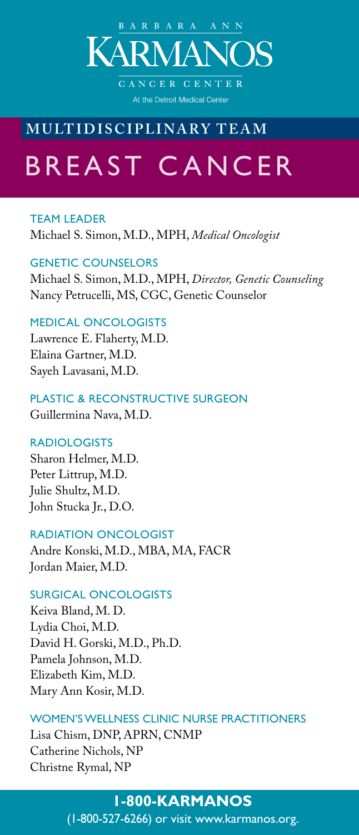

At the Detroit Medical Center

# **MULTIDISCIPLINARY TEAM**

# BREAST CANCER

TEAM LEADER Michael S. Simon, M.D., MPH, *Medical Oncologist*

### GENETIC COUNSELORS

Michael S. Simon, M.D., MPH, *Director, Genetic Counseling* Nancy Petrucelli, MS, CGC, Genetic Counselor

### MEDICAL ONCOLOGISTS

Lawrence E. Flaherty, M.D. Elaina Gartner, M.D. Sayeh Lavasani, M.D.

# PLASTIC & RECONSTRUCTIVE SURGEON

Guillermina Nava, M.D.

### RADIOLOGISTS

Sharon Helmer, M.D. Peter Littrup, M.D. Julie Shultz, M.D. John Stucka Jr., D.O.

### RADIATION ONCOLOGIST

Andre Konski, M.D., MBA, MA, FACR Jordan Maier, M.D.

### SURGICAL ONCOLOGISTS

Keiva Bland, M. D. Lydia Choi, M.D. David H. Gorski, M.D., Ph.D. Pamela Johnson, M.D. Elizabeth Kim, M.D. Mary Ann Kosir, M.D.

### WOMEN'S WELLNESS CLINIC NURSE PRACTITIONERS

Lisa Chism, DNP, APRN, CNMP Catherine Nichols, NP Christne Rymal, NP

### **1-800-KARMANOS**

(1-800-527-6266) or visit www.karmanos.org.